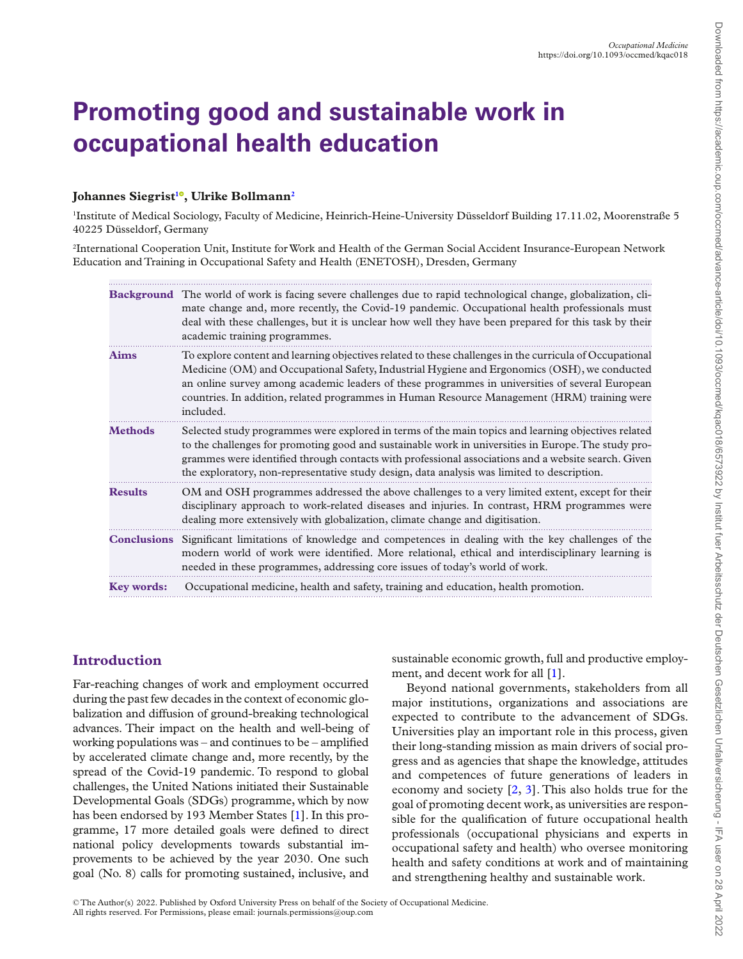# **Promoting good and sustainable work in occupational health education**

# **Johannes Siegrist[1](#page-0-0) [,](https://orcid.org/0000-0002-7530-4178) Ulrike Bollmann[2](#page-0-1)**

<span id="page-0-0"></span>1 Institute of Medical Sociology, Faculty of Medicine, Heinrich-Heine-University Düsseldorf Building 17.11.02, Moorenstraße 5 40225 Düsseldorf, Germany

<span id="page-0-1"></span>2 International Cooperation Unit, Institute for Work and Health of the German Social Accident Insurance-European Network Education and Training in Occupational Safety and Health (ENETOSH), Dresden, Germany

|                    | <b>Background</b> The world of work is facing severe challenges due to rapid technological change, globalization, cli-<br>mate change and, more recently, the Covid-19 pandemic. Occupational health professionals must<br>deal with these challenges, but it is unclear how well they have been prepared for this task by their<br>academic training programmes.                                                      |  |  |
|--------------------|------------------------------------------------------------------------------------------------------------------------------------------------------------------------------------------------------------------------------------------------------------------------------------------------------------------------------------------------------------------------------------------------------------------------|--|--|
| <b>Aims</b>        | To explore content and learning objectives related to these challenges in the curricula of Occupational<br>Medicine (OM) and Occupational Safety, Industrial Hygiene and Ergonomics (OSH), we conducted<br>an online survey among academic leaders of these programmes in universities of several European<br>countries. In addition, related programmes in Human Resource Management (HRM) training were<br>included. |  |  |
| <b>Methods</b>     | Selected study programmes were explored in terms of the main topics and learning objectives related<br>to the challenges for promoting good and sustainable work in universities in Europe. The study pro-<br>grammes were identified through contacts with professional associations and a website search. Given<br>the exploratory, non-representative study design, data analysis was limited to description.       |  |  |
| <b>Results</b>     | OM and OSH programmes addressed the above challenges to a very limited extent, except for their<br>disciplinary approach to work-related diseases and injuries. In contrast, HRM programmes were<br>dealing more extensively with globalization, climate change and digitisation.                                                                                                                                      |  |  |
| <b>Conclusions</b> | Significant limitations of knowledge and competences in dealing with the key challenges of the<br>modern world of work were identified. More relational, ethical and interdisciplinary learning is<br>needed in these programmes, addressing core issues of today's world of work.                                                                                                                                     |  |  |
| <b>Key words:</b>  | Occupational medicine, health and safety, training and education, health promotion.                                                                                                                                                                                                                                                                                                                                    |  |  |

## **Introduction**

Far-reaching changes of work and employment occurred during the past few decades in the context of economic globalization and diffusion of ground-breaking technological advances. Their impact on the health and well-being of working populations was – and continues to be – amplifed by accelerated climate change and, more recently, by the spread of the Covid-19 pandemic. To respond to global challenges, the United Nations initiated their Sustainable Developmental Goals (SDGs) programme, which by now has been endorsed by 193 Member States [1]. In this programme, 17 more detailed goals were defned to direct national policy developments towards substantial improvements to be achieved by the year 2030. One such goal (No. 8) calls for promoting sustained, inclusive, and

sustainable economic growth, full and productive employment, and decent work for all [1].

<span id="page-0-2"></span>Beyond national governments, stakeholders from all major institutions, organizations and associations are expected to contribute to the advancement of SDGs. Universities play an important role in this process, given their long-standing mission as main drivers of social progress and as agencies that shape the knowledge, attitudes and competences of future generations of leaders in economy and society [2, [3\]](#page-4-0). This also holds true for the goal of promoting decent work, as universities are responsible for the qualifcation of future occupational health professionals (occupational physicians and experts in occupational safety and health) who oversee monitoring health and safety conditions at work and of maintaining and strengthening healthy and sustainable work.

© The Author(s) 2022. Published by Oxford University Press on behalf of the Society of Occupational Medicine. All rights reserved. For Permissions, please email: journals.permissions@oup.com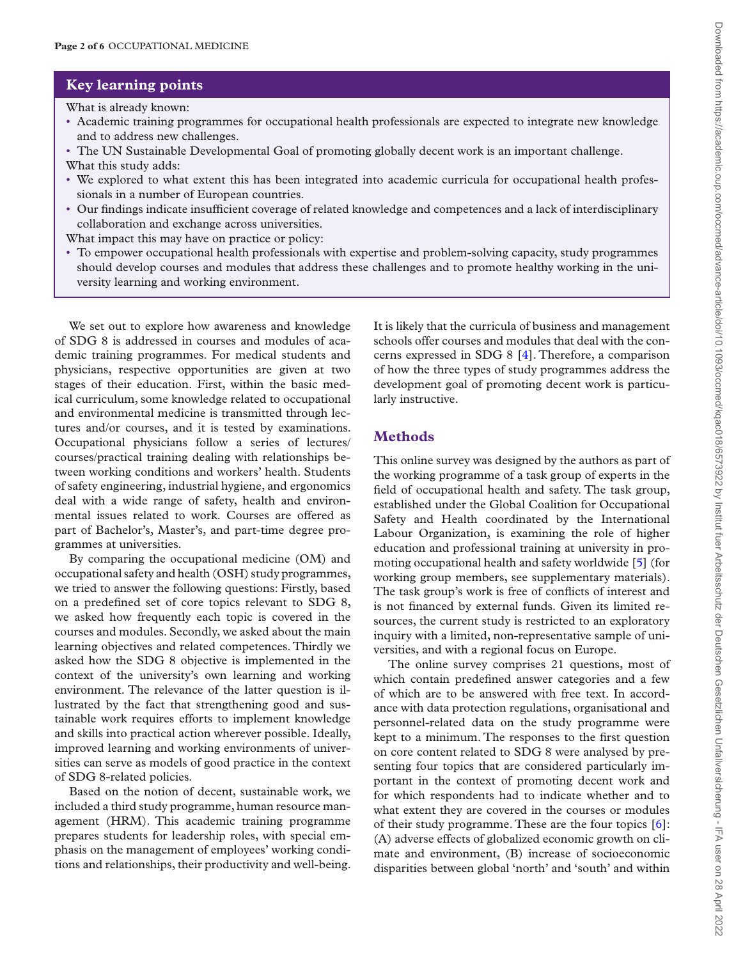## **Key learning points**

What is already known:

- Academic training programmes for occupational health professionals are expected to integrate new knowledge and to address new challenges.
- The UN Sustainable Developmental Goal of promoting globally decent work is an important challenge. What this study adds:
- We explored to what extent this has been integrated into academic curricula for occupational health professionals in a number of European countries.
- Our fndings indicate insuffcient coverage of related knowledge and competences and a lack of interdisciplinary collaboration and exchange across universities.

What impact this may have on practice or policy:

• To empower occupational health professionals with expertise and problem-solving capacity, study programmes should develop courses and modules that address these challenges and to promote healthy working in the university learning and working environment.

We set out to explore how awareness and knowledge of SDG 8 is addressed in courses and modules of academic training programmes. For medical students and physicians, respective opportunities are given at two stages of their education. First, within the basic medical curriculum, some knowledge related to occupational and environmental medicine is transmitted through lectures and/or courses, and it is tested by examinations. Occupational physicians follow a series of lectures/ courses/practical training dealing with relationships between working conditions and workers' health. Students of safety engineering, industrial hygiene, and ergonomics deal with a wide range of safety, health and environmental issues related to work. Courses are offered as part of Bachelor's, Master's, and part-time degree programmes at universities.

By comparing the occupational medicine (OM) and occupational safety and health (OSH) study programmes, we tried to answer the following questions: Firstly, based on a predefned set of core topics relevant to SDG 8, we asked how frequently each topic is covered in the courses and modules. Secondly, we asked about the main learning objectives and related competences. Thirdly we asked how the SDG 8 objective is implemented in the context of the university's own learning and working environment. The relevance of the latter question is illustrated by the fact that strengthening good and sustainable work requires efforts to implement knowledge and skills into practical action wherever possible. Ideally, improved learning and working environments of universities can serve as models of good practice in the context of SDG 8-related policies.

Based on the notion of decent, sustainable work, we included a third study programme, human resource management (HRM). This academic training programme prepares students for leadership roles, with special emphasis on the management of employees' working conditions and relationships, their productivity and well-being.

<span id="page-1-0"></span>It is likely that the curricula of business and management schools offer courses and modules that deal with the concerns expressed in SDG 8 [\[4\]](#page-4-1). Therefore, a comparison of how the three types of study programmes address the development goal of promoting decent work is particularly instructive.

#### **Methods**

This online survey was designed by the authors as part of the working programme of a task group of experts in the feld of occupational health and safety. The task group, established under the Global Coalition for Occupational Safety and Health coordinated by the International Labour Organization, is examining the role of higher education and professional training at university in promoting occupational health and safety worldwide [5] (for working group members, see supplementary materials). The task group's work is free of conficts of interest and is not fnanced by external funds. Given its limited resources, the current study is restricted to an exploratory inquiry with a limited, non-representative sample of universities, and with a regional focus on Europe.

The online survey comprises 21 questions, most of which contain predefned answer categories and a few of which are to be answered with free text. In accordance with data protection regulations, organisational and personnel-related data on the study programme were kept to a minimum. The responses to the frst question on core content related to SDG 8 were analysed by presenting four topics that are considered particularly important in the context of promoting decent work and for which respondents had to indicate whether and to what extent they are covered in the courses or modules of their study programme. These are the four topics [6]: (A) adverse effects of globalized economic growth on climate and environment, (B) increase of socioeconomic disparities between global 'north' and 'south' and within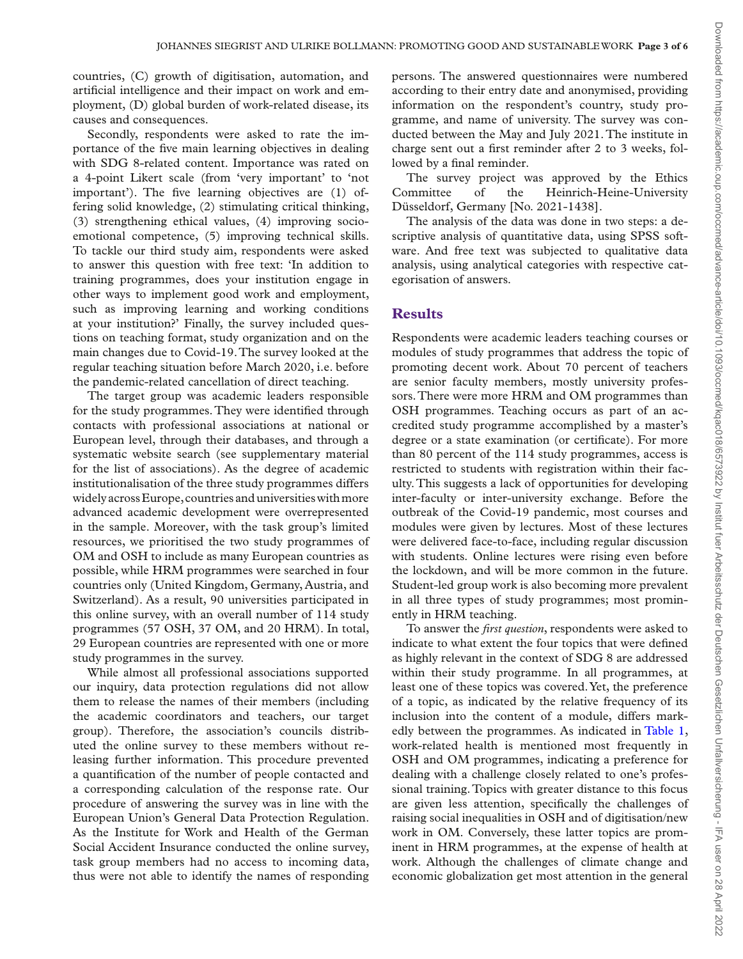countries, (C) growth of digitisation, automation, and artifcial intelligence and their impact on work and employment, (D) global burden of work-related disease, its causes and consequences.

Secondly, respondents were asked to rate the importance of the fve main learning objectives in dealing with SDG 8-related content. Importance was rated on a 4-point Likert scale (from 'very important' to 'not important'). The fve learning objectives are (1) offering solid knowledge, (2) stimulating critical thinking, (3) strengthening ethical values, (4) improving socioemotional competence, (5) improving technical skills. To tackle our third study aim, respondents were asked to answer this question with free text: 'In addition to training programmes, does your institution engage in other ways to implement good work and employment, such as improving learning and working conditions at your institution?' Finally, the survey included questions on teaching format, study organization and on the main changes due to Covid-19. The survey looked at the regular teaching situation before March 2020, i.e. before the pandemic-related cancellation of direct teaching.

The target group was academic leaders responsible for the study programmes. They were identifed through contacts with professional associations at national or European level, through their databases, and through a systematic website search (see supplementary material for the list of associations). As the degree of academic institutionalisation of the three study programmes differs widely across Europe, countries and universities with more advanced academic development were overrepresented in the sample. Moreover, with the task group's limited resources, we prioritised the two study programmes of OM and OSH to include as many European countries as possible, while HRM programmes were searched in four countries only (United Kingdom, Germany, Austria, and Switzerland). As a result, 90 universities participated in this online survey, with an overall number of 114 study programmes (57 OSH, 37 OM, and 20 HRM). In total, 29 European countries are represented with one or more study programmes in the survey.

While almost all professional associations supported our inquiry, data protection regulations did not allow them to release the names of their members (including the academic coordinators and teachers, our target group). Therefore, the association's councils distributed the online survey to these members without releasing further information. This procedure prevented a quantifcation of the number of people contacted and a corresponding calculation of the response rate. Our procedure of answering the survey was in line with the European Union's General Data Protection Regulation. As the Institute for Work and Health of the German Social Accident Insurance conducted the online survey, task group members had no access to incoming data, thus were not able to identify the names of responding persons. The answered questionnaires were numbered according to their entry date and anonymised, providing information on the respondent's country, study programme, and name of university. The survey was conducted between the May and July 2021. The institute in charge sent out a frst reminder after 2 to 3 weeks, followed by a final reminder.

The survey project was approved by the Ethics Committee of the Heinrich-Heine-University Düsseldorf, Germany [No. 2021-1438].

The analysis of the data was done in two steps: a descriptive analysis of quantitative data, using SPSS software. And free text was subjected to qualitative data analysis, using analytical categories with respective categorisation of answers.

### **Results**

Respondents were academic leaders teaching courses or modules of study programmes that address the topic of promoting decent work. About 70 percent of teachers are senior faculty members, mostly university professors. There were more HRM and OM programmes than OSH programmes. Teaching occurs as part of an accredited study programme accomplished by a master's degree or a state examination (or certifcate). For more than 80 percent of the 114 study programmes, access is restricted to students with registration within their faculty. This suggests a lack of opportunities for developing inter-faculty or inter-university exchange. Before the outbreak of the Covid-19 pandemic, most courses and modules were given by lectures. Most of these lectures were delivered face-to-face, including regular discussion with students. Online lectures were rising even before the lockdown, and will be more common in the future. Student-led group work is also becoming more prevalent in all three types of study programmes; most prominently in HRM teaching.

To answer the *frst question*, respondents were asked to indicate to what extent the four topics that were defned as highly relevant in the context of SDG 8 are addressed within their study programme. In all programmes, at least one of these topics was covered. Yet, the preference of a topic, as indicated by the relative frequency of its inclusion into the content of a module, differs markedly between the programmes. As indicated in [Table 1,](#page-3-0) work-related health is mentioned most frequently in OSH and OM programmes, indicating a preference for dealing with a challenge closely related to one's professional training. Topics with greater distance to this focus are given less attention, specifcally the challenges of raising social inequalities in OSH and of digitisation/new work in OM. Conversely, these latter topics are prominent in HRM programmes, at the expense of health at work. Although the challenges of climate change and economic globalization get most attention in the general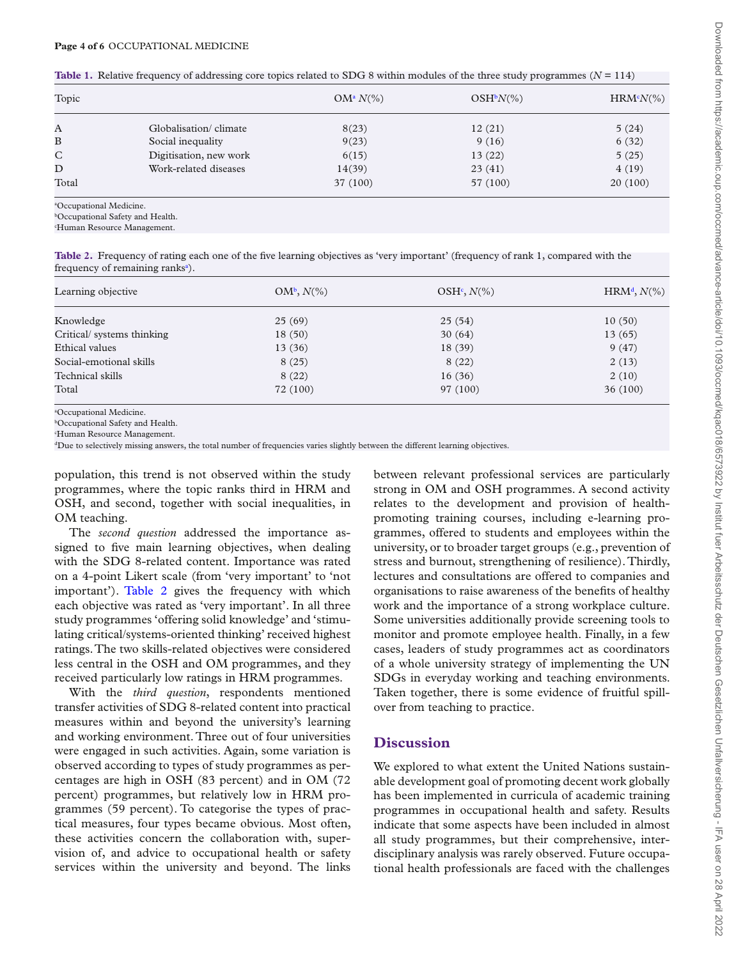<span id="page-3-0"></span>

| <b>Table 1.</b> Relative frequency of addressing core topics related to SDG 8 within modules of the three study programmes ( $N = 114$ ) |  |
|------------------------------------------------------------------------------------------------------------------------------------------|--|
|------------------------------------------------------------------------------------------------------------------------------------------|--|

| Topic        |                        | $OM^a N(\%)$ | $OSH^bN(\%)$ | $HRM^cN(\%)$ |
|--------------|------------------------|--------------|--------------|--------------|
| A            | Globalisation/climate  | 8(23)        | 12(21)       | 5(24)        |
| B            | Social inequality      | 9(23)        | 9(16)        | 6(32)        |
| $\mathsf{C}$ | Digitisation, new work | 6(15)        | 13(22)       | 5(25)        |
| D            | Work-related diseases  | 14(39)       | 23(41)       | 4(19)        |
| Total        |                        | 37 (100)     | 57 (100)     | 20(100)      |

<span id="page-3-1"></span>a Occupational Medicine.

<span id="page-3-2"></span>b Occupational Safety and Health.

<span id="page-3-3"></span>c Human Resource Management.

<span id="page-3-8"></span>**Table 2.** Frequency of rating each one of the five learning objectives as 'very important' (frequency of rank 1, compared with the frequency of rem[a](#page-3-4)ining ranks<sup>a</sup>).

| Learning objective         | $OM^b$ , $N(\%)$ | $OSHc, N(\%)$ | $HRMd, N(\%)$ |
|----------------------------|------------------|---------------|---------------|
| Knowledge                  | 25(69)           | 25(54)        | 10(50)        |
| Critical/ systems thinking | 18(50)           | 30(64)        | 13(65)        |
| Ethical values             | 13(36)           | 18(39)        | 9(47)         |
| Social-emotional skills    | 8(25)            | 8(22)         | 2(13)         |
| Technical skills           | 8(22)            | 16(36)        | 2(10)         |
| Total                      | 72 (100)         | 97 (100)      | 36(100)       |

<span id="page-3-4"></span>a Occupational Medicine.

<span id="page-3-5"></span>b Occupational Safety and Health.

<span id="page-3-6"></span>c Human Resource Management.

<span id="page-3-7"></span>dDue to selectively missing answers, the total number of frequencies varies slightly between the different learning objectives.

population, this trend is not observed within the study programmes, where the topic ranks third in HRM and OSH, and second, together with social inequalities, in OM teaching.

The *second question* addressed the importance assigned to five main learning objectives, when dealing with the SDG 8-related content. Importance was rated on a 4-point Likert scale (from 'very important' to 'not important'). [Table 2](#page-3-8) gives the frequency with which each objective was rated as 'very important'. In all three study programmes 'offering solid knowledge' and 'stimulating critical/systems-oriented thinking' received highest ratings. The two skills-related objectives were considered less central in the OSH and OM programmes, and they received particularly low ratings in HRM programmes.

With the *third question*, respondents mentioned transfer activities of SDG 8-related content into practical measures within and beyond the university's learning and working environment. Three out of four universities were engaged in such activities. Again, some variation is observed according to types of study programmes as percentages are high in OSH (83 percent) and in OM (72 percent) programmes, but relatively low in HRM programmes (59 percent). To categorise the types of practical measures, four types became obvious. Most often, these activities concern the collaboration with, supervision of, and advice to occupational health or safety services within the university and beyond. The links

between relevant professional services are particularly strong in OM and OSH programmes. A second activity relates to the development and provision of healthpromoting training courses, including e-learning programmes, offered to students and employees within the university, or to broader target groups (e.g., prevention of stress and burnout, strengthening of resilience). Thirdly, lectures and consultations are offered to companies and organisations to raise awareness of the benefts of healthy work and the importance of a strong workplace culture. Some universities additionally provide screening tools to monitor and promote employee health. Finally, in a few cases, leaders of study programmes act as coordinators of a whole university strategy of implementing the UN SDGs in everyday working and teaching environments. Taken together, there is some evidence of fruitful spillover from teaching to practice.

### **Discussion**

We explored to what extent the United Nations sustainable development goal of promoting decent work globally has been implemented in curricula of academic training programmes in occupational health and safety. Results indicate that some aspects have been included in almost all study programmes, but their comprehensive, interdisciplinary analysis was rarely observed. Future occupational health professionals are faced with the challenges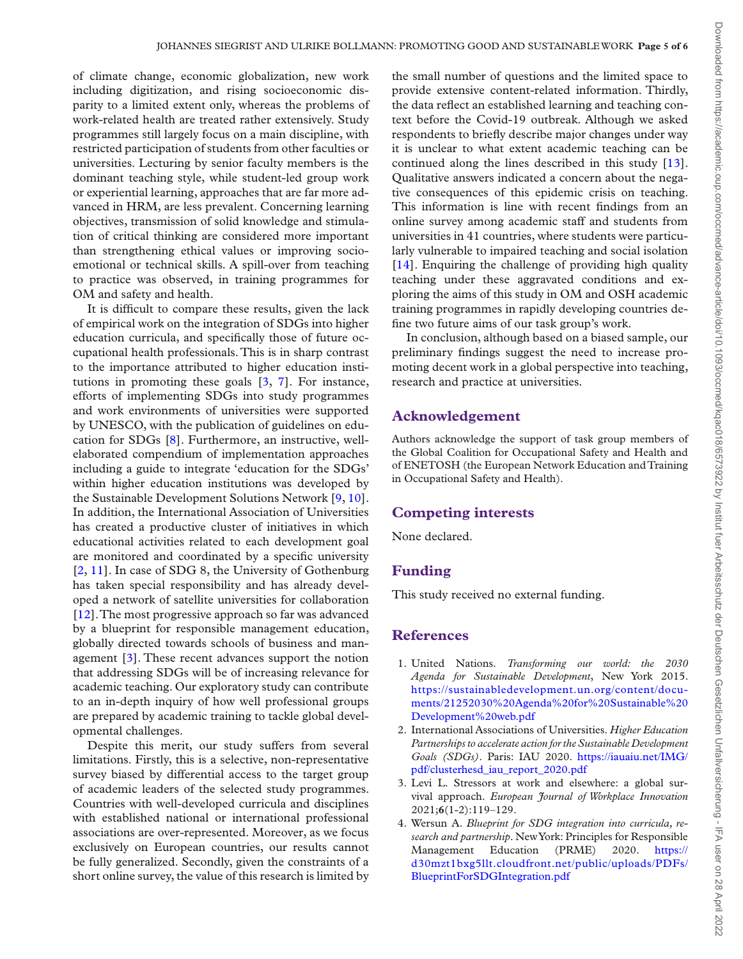of climate change, economic globalization, new work including digitization, and rising socioeconomic disparity to a limited extent only, whereas the problems of work-related health are treated rather extensively. Study programmes still largely focus on a main discipline, with restricted participation of students from other faculties or universities. Lecturing by senior faculty members is the dominant teaching style, while student-led group work or experiential learning, approaches that are far more advanced in HRM, are less prevalent. Concerning learning objectives, transmission of solid knowledge and stimulation of critical thinking are considered more important than strengthening ethical values or improving socioemotional or technical skills. A spill-over from teaching to practice was observed, in training programmes for OM and safety and health.

It is diffcult to compare these results, given the lack of empirical work on the integration of SDGs into higher education curricula, and specifcally those of future occupational health professionals. This is in sharp contrast to the importance attributed to higher education institutions in promoting these goals [\[3,](#page-4-0) 7]. For instance, efforts of implementing SDGs into study programmes and work environments of universities were supported by UNESCO, with the publication of guidelines on education for SDGs [8]. Furthermore, an instructive, wellelaborated compendium of implementation approaches including a guide to integrate 'education for the SDGs' within higher education institutions was developed by the Sustainable Development Solutions Network [\[9,](#page-5-0) [10\]](#page-5-1). In addition, the International Association of Universities has created a productive cluster of initiatives in which educational activities related to each development goal are monitored and coordinated by a specifc university [2, 11]. In case of SDG 8, the University of Gothenburg has taken special responsibility and has already developed a network of satellite universities for collaboration [12]. The most progressive approach so far was advanced by a blueprint for responsible management education, globally directed towards schools of business and management [\[3\]](#page-4-0). These recent advances support the notion that addressing SDGs will be of increasing relevance for academic teaching. Our exploratory study can contribute to an in-depth inquiry of how well professional groups are prepared by academic training to tackle global developmental challenges.

Despite this merit, our study suffers from several limitations. Firstly, this is a selective, non-representative survey biased by differential access to the target group of academic leaders of the selected study programmes. Countries with well-developed curricula and disciplines with established national or international professional associations are over-represented. Moreover, as we focus exclusively on European countries, our results cannot be fully generalized. Secondly, given the constraints of a short online survey, the value of this research is limited by

the small number of questions and the limited space to provide extensive content-related information. Thirdly, the data refect an established learning and teaching context before the Covid-19 outbreak. Although we asked respondents to briefy describe major changes under way it is unclear to what extent academic teaching can be continued along the lines described in this study [13]. Qualitative answers indicated a concern about the negative consequences of this epidemic crisis on teaching. This information is line with recent fndings from an online survey among academic staff and students from universities in 41 countries, where students were particularly vulnerable to impaired teaching and social isolation [[14\]](#page-5-2). Enquiring the challenge of providing high quality teaching under these aggravated conditions and exploring the aims of this study in OM and OSH academic training programmes in rapidly developing countries defne two future aims of our task group's work.

<span id="page-4-4"></span>In conclusion, although based on a biased sample, our preliminary fndings suggest the need to increase promoting decent work in a global perspective into teaching, research and practice at universities.

## **Acknowledgement**

Authors acknowledge the support of task group members of the Global Coalition for Occupational Safety and Health and of ENETOSH (the European Network Education and Training in Occupational Safety and Health).

#### <span id="page-4-3"></span><span id="page-4-2"></span>**Competing interests**

None declared.

#### **Funding**

This study received no external funding.

#### **References**

- 1. United Nations. *Transforming our world: the 2030 Agenda for Sustainable Development*, New York 2015. [https://sustainabledevelopment.un.org/content/docu](https://sustainabledevelopment.un.org/content/documents/21252030%20Agenda%20for%20Sustainable%20Development%20web.pdf)[ments/21252030%20Agenda%20for%20Sustainable%20](https://sustainabledevelopment.un.org/content/documents/21252030%20Agenda%20for%20Sustainable%20Development%20web.pdf) [Development%20web.pdf](https://sustainabledevelopment.un.org/content/documents/21252030%20Agenda%20for%20Sustainable%20Development%20web.pdf)
- 2. International Associations of Universities. *Higher Education Partnerships to accelerate action for the Sustainable Development Goals (SDGs)*. Paris: IAU 2020. [https://iauaiu.net/IMG/](https://iauaiu.net/IMG/pdf/clusterhesd_iau_report_2020.pdf) [pdf/clusterhesd\\_iau\\_report\\_2020.pdf](https://iauaiu.net/IMG/pdf/clusterhesd_iau_report_2020.pdf)
- <span id="page-4-0"></span>3. [Levi L.](#page-0-2) Stressors at work and elsewhere: a global survival approach. *European Journal of Workplace Innovation* 2021;**6**(1-2):119–129.
- <span id="page-4-1"></span>4. [Wersun A.](#page-1-0) *Blueprint for SDG integration into curricula, research and partnership*. New York: Principles for Responsible Management Education (PRME) 2020. [https://](https://d30mzt1bxg5llt.cloudfront.net/public/uploads/PDFs/BlueprintForSDGIntegration.pdf) [d30mzt1bxg5llt.cloudfront.net/public/uploads/PDFs/](https://d30mzt1bxg5llt.cloudfront.net/public/uploads/PDFs/BlueprintForSDGIntegration.pdf) [BlueprintForSDGIntegration.pdf](https://d30mzt1bxg5llt.cloudfront.net/public/uploads/PDFs/BlueprintForSDGIntegration.pdf)